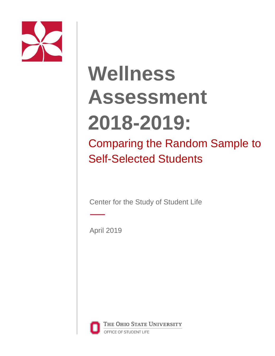

# **Wellness Assessment 2018-2019:**

Comparing the Random Sample to Self-Selected Students

Center for the Study of Student Life

April 2019



THE OHIO STATE UNIVERSITY OFFICE OF STUDENT LIFE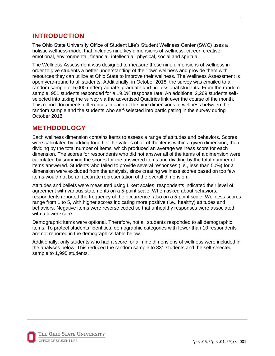## **INTRODUCTION**

The Ohio State University Office of Student Life's Student Wellness Center (SWC) uses a holistic wellness model that includes nine key dimensions of wellness: career, creative, emotional, environmental, financial, intellectual, physical, social and spiritual.

The Wellness Assessment was designed to measure these nine dimensions of wellness in order to give students a better understanding of their own wellness and provide them with resources they can utilize at Ohio State to improve their wellness. The Wellness Assessment is open year-round to all students. Additionally, in October 2018, the survey was emailed to a random sample of 5,000 undergraduate, graduate and professional students. From the random sample, 951 students responded for a 19.0% response rate. An additional 2,269 students selfselected into taking the survey via the advertised Qualtrics link over the course of the month. This report documents differences in each of the nine dimensions of wellness between the random sample and the students who self-selected into participating in the survey during October 2018.

## **METHODOLOGY**

Each wellness dimension contains items to assess a range of attitudes and behaviors. Scores were calculated by adding together the values of all of the items within a given dimension, then dividing by the total number of items, which produced an average wellness score for each dimension. The scores for respondents who did not answer all of the items of a dimension were calculated by summing the scores for the answered items and dividing by the total number of items answered. Students who failed to provide several responses (i.e., less than 50%) for a dimension were excluded from the analysis, since creating wellness scores based on too few items would not be an accurate representation of the overall dimension.

Attitudes and beliefs were measured using Likert scales; respondents indicated their level of agreement with various statements on a 5-point scale. When asked about behaviors, respondents reported the frequency of the occurrence, also on a 5-point scale. Wellness scores range from 1 to 5, with higher scores indicating more positive (i.e., healthy) attitudes and behaviors. Negative items were reverse coded so that unhealthy responses were associated with a lower score.

Demographic items were optional. Therefore, not all students responded to all demographic items. To protect students' identities, demographic categories with fewer than 10 respondents are not reported in the demographics table below.

Additionally, only students who had a score for all nine dimensions of wellness were included in the analyses below. This reduced the random sample to 831 students and the self-selected sample to 1,995 students.

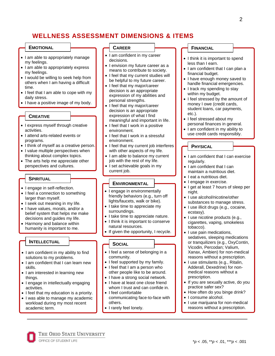# **WELLNESS ASSESSMENT DIMENSIONS & ITEMS**

#### **EMOTIONAL**

- I am able to appropriately manage my feelings.
- I am able to appropriately express my feelings.
- I would be willing to seek help from others when I am having a difficult time.
- I feel that I am able to cope with my daily stress.
- I have a positive image of my body.

#### **CREATIVE**

- I express myself through creative activities.
- I attend arts-related events or programs.
- I think of myself as a creative person.
- I value multiple perspectives when thinking about complex topics.
- The arts help me appreciate other perspectives and cultures.

#### **SPIRITUAL**

- I engage in self-reflection.
- I feel a connection to something larger than myself.
- I seek out meaning in my life.
- I have values, morals, and/or a belief system that helps me make decisions and guides my life.
- Harmony and balance within humanity is important to me.

#### **INTELLECTUAL**

- I am confident in my ability to find solutions to my problems.
- I am confident that I can learn new skills.
- I am interested in learning new things.
- I engage in intellectually engaging activities.
- I feel that my education is a priority.
- I was able to manage my academic workload during my most recent academic term.

#### **CAREER**

- I am confident in my career decisions.
- I envision my future career as a means to contribute to society.
- I feel that my current studies will be helpful to my future career.
- I feel that my major/career decision is an appropriate expression of my abilities and personal strengths.
- I feel that my major/career decision is an appropriate expression of what I find meaningful and important in life.
- I feel that I work in a positive environment.
- I feel that I work in a stressful environment.
- I feel that my current job interferes with other aspects of my life.
- I am able to balance my current job with the rest of my life.
- I set achievable goals in my current job.

#### **ENVIRONMENTAL**

- I engage in environmentally friendly behaviors (e.g., turn off lights/faucets, walk or bike).
- I take time to appreciate my surroundings.
- I take time to appreciate nature.
- I think it is important to conserve natural resources.
- If given the opportunity, I recycle.

#### **SOCIAL**

- I feel a sense of belonging in a community.
- I feel supported by my family. • I feel that I am a person who
- other people like to be around. • I have a strong social network.
- I have at least one close friend
- whom I trust and can confide in.
- I feel comfortable communicating face-to-face with others.
- I rarely feel lonely.

## **FINANCIAL**

- I think it is important to spend less than I earn.
- I am confident that I can plan a financial budget.
- I have enough money saved to handle financial emergencies.
- I track my spending to stay within my budget.
- I feel stressed by the amount of money I owe (credit cards, student loans, car payments, etc.).
- I feel stressed about my personal finances in general.
- I am confident in my ability to use credit cards responsibly.

#### **PHYSICAL**

- I am confident that I can exercise regularly.
- I am confident that I can maintain a nutritious diet.
- I eat a nutritious diet.
- I engage in exercise.
- I get at least 7 hours of sleep per night.
- I use alcohol/nicotine/other substances to manage stress.
- I use illicit drugs (e.g., cocaine, ecstasy).
- I use nicotine products (e.g., cigarettes, vaping, smokeless tobacco).
- I use pain medications, sedatives, sleeping medications or tranquilizers (e.g., OxyContin, Vicodin, Percodan; Valium, Xanax, Ambien) for non-medical reasons without a prescription.
- I use stimulants (e.g., Ritalin, Adderall, Dexedrine) for nonmedical reasons without a prescription.
- If you are sexually active, do you practice safer sex?
- How often do you binge drink?
- I consume alcohol.
- I use marijuana for non-medical reasons without a prescription.

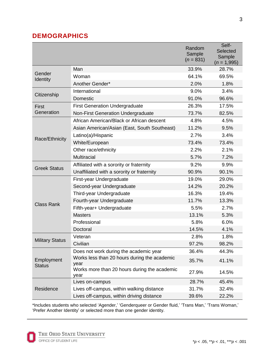# **DEMOGRAPHICS**

|                             |                                                      | Random<br>Sample<br>$(n = 831)$ | Self-<br>Selected<br>Sample<br>$(n = 1,995)$ |
|-----------------------------|------------------------------------------------------|---------------------------------|----------------------------------------------|
| Gender<br><b>Identity</b>   | Man                                                  | 33.9%                           | 28.7%                                        |
|                             | Woman                                                | 64.1%                           | 69.5%                                        |
|                             | Another Gender*                                      | 2.0%                            | 1.8%                                         |
| Citizenship                 | International                                        | 9.0%                            | 3.4%                                         |
|                             | Domestic                                             | 91.0%                           | 96.6%                                        |
| First<br>Generation         | <b>First Generation Undergraduate</b>                | 26.3%                           | 17.5%                                        |
|                             | Non-First Generation Undergraduate                   | 73.7%                           | 82.5%                                        |
| Race/Ethnicity              | African American/Black or African descent            | 4.8%                            | 4.5%                                         |
|                             | Asian American/Asian (East, South Southeast)         | 11.2%                           | 9.5%                                         |
|                             | Latino(a)/Hispanic                                   | 2.7%                            | 3.4%                                         |
|                             | White/European                                       | 73.4%                           | 73.4%                                        |
|                             | Other race/ethnicity                                 | 2.2%                            | 2.1%                                         |
|                             | <b>Multiracial</b>                                   | 5.7%                            | 7.2%                                         |
| <b>Greek Status</b>         | Affiliated with a sorority or fraternity             | 9.2%                            | 9.9%                                         |
|                             | Unaffiliated with a sorority or fraternity           | 90.9%                           | 90.1%                                        |
| <b>Class Rank</b>           | First-year Undergraduate                             | 19.0%                           | 29.0%                                        |
|                             | Second-year Undergraduate                            | 14.2%                           | 20.2%                                        |
|                             | Third-year Undergraduate                             | 16.3%                           | 19.4%                                        |
|                             | Fourth-year Undergraduate                            | 11.7%                           | 13.3%                                        |
|                             | Fifth-year+ Undergraduate                            | 5.5%                            | 2.7%                                         |
|                             | <b>Masters</b>                                       | 13.1%                           | 5.3%                                         |
|                             | Professional                                         | 5.8%                            | 6.0%                                         |
|                             | Doctoral                                             | 14.5%                           | 4.1%                                         |
| <b>Military Status</b>      | Veteran                                              | 2.8%                            | 1.8%                                         |
|                             | Civilian                                             | 97.2%                           | 98.2%                                        |
| Employment<br><b>Status</b> | Does not work during the academic year               | 36.4%                           | 44.3%                                        |
|                             | Works less than 20 hours during the academic<br>year | 35.7%                           | 41.1%                                        |
|                             | Works more than 20 hours during the academic<br>year | 27.9%                           | 14.5%                                        |
| Residence                   | Lives on-campus                                      | 28.7%                           | 45.4%                                        |
|                             | Lives off-campus, within walking distance            | 31.7%                           | 32.4%                                        |
|                             | Lives off-campus, within driving distance            | 39.6%                           | 22.2%                                        |

\*Includes students who selected 'Agender,' 'Genderqueer or Gender fluid,' 'Trans Man,' 'Trans Woman,' 'Prefer Another Identity' or selected more than one gender identity.

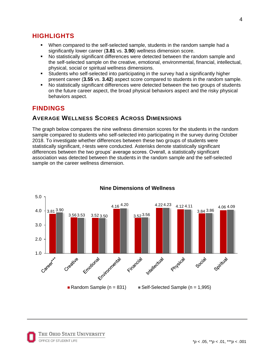# **HIGHLIGHTS**

- When compared to the self-selected sample, students in the random sample had a significantly lower career (**3.81** vs. **3.90**) wellness dimension score.
- No statistically significant differences were detected between the random sample and the self-selected sample on the creative, emotional, environmental, financial, intellectual, physical, social or spiritual wellness dimensions.
- Students who self-selected into participating in the survey had a significantly higher present career (**3.55** vs. **3.42**) aspect score compared to students in the random sample.
- No statistically significant differences were detected between the two groups of students on the future career aspect, the broad physical behaviors aspect and the risky physical behaviors aspect.

# **FINDINGS**

## **AVERAGE WELLNESS SCORES ACROSS DIMENSIONS**

The graph below compares the nine wellness dimension scores for the students in the random sample compared to students who self-selected into participating in the survey during October 2018. To investigate whether differences between these two groups of students were statistically significant, *t-*tests were conducted. Asterisks denote statistically significant differences between the two groups' average scores. Overall, a statistically significant association was detected between the students in the random sample and the self-selected sample on the career wellness dimension.



#### **Nine Dimensions of Wellness**

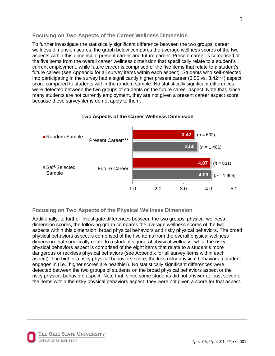## **Focusing on Two Aspects of the Career Wellness Dimension**

To further investigate the statistically significant difference between the two groups' career wellness dimension scores, the graph below compares the average wellness scores of the two aspects within this dimension: present career and future career. Present career is comprised of the five items from the overall career wellness dimension that specifically relate to a student's current employment, while future career is comprised of the five items that relate to a student's future career (see Appendix for all survey items within each aspect). Students who self-selected into participating in the survey had a significantly higher present career (3.55 vs. 3.42\*\*\*) aspect score compared to students within the random sample. No statistically significant differences were detected between the two groups of students on the future career aspect. Note that, since many students are not currently employment, they are not given a present career aspect score because those survey items do not apply to them.



#### **Two Aspects of the Career Wellness Dimension**

## **Focusing on Two Aspects of the Physical Wellness Dimension**

Additionally, to further investigate differences between the two groups' physical wellness dimension scores, the following graph compares the average wellness scores of the two aspects within this dimension: broad physical behaviors and risky physical behaviors. The broad physical behaviors aspect is comprised of the five items from the overall physical wellness dimension that specifically relate to a student's general physical wellness, while the risky physical behaviors aspect is comprised of the eight items that relate to a student's more dangerous or reckless physical behaviors (see Appendix for all survey items within each aspect). The higher a risky physical behaviors score, the less risky physical behaviors a student engages in (i.e., higher scores are healthier). No statistically significant differences were detected between the two groups of students on the broad physical behaviors aspect or the risky physical behaviors aspect. Note that, since some students did not answer at least seven of the items within the risky physical behaviors aspect, they were not given a score for that aspect.

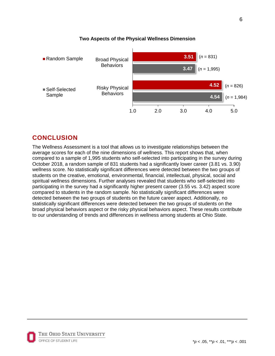

## **Two Aspects of the Physical Wellness Dimension**

# **CONCLUSION**

The Wellness Assessment is a tool that allows us to investigate relationships between the average scores for each of the nine dimensions of wellness. This report shows that, when compared to a sample of 1,995 students who self-selected into participating in the survey during October 2018, a random sample of 831 students had a significantly lower career (3.81 vs. 3.90) wellness score. No statistically significant differences were detected between the two groups of students on the creative, emotional, environmental, financial, intellectual, physical, social and spiritual wellness dimensions. Further analyses revealed that students who self-selected into participating in the survey had a significantly higher present career (3.55 vs. 3.42) aspect score compared to students in the random sample. No statistically significant differences were detected between the two groups of students on the future career aspect. Additionally, no statistically significant differences were detected between the two groups of students on the broad physical behaviors aspect or the risky physical behaviors aspect. These results contribute to our understanding of trends and differences in wellness among students at Ohio State.